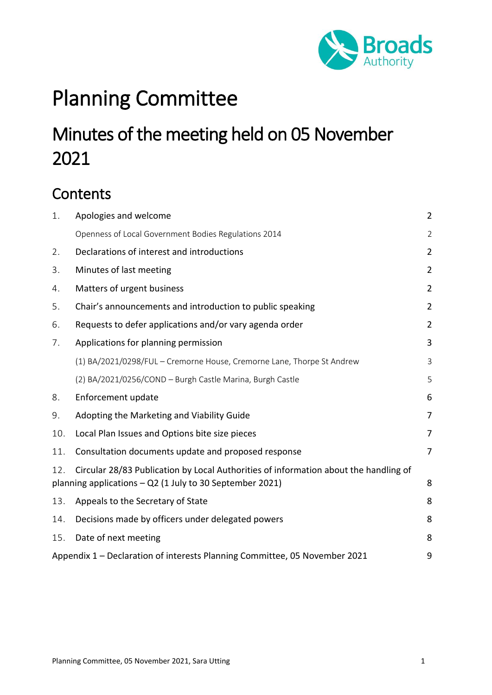

# Planning Committee

# Minutes of the meeting held on 05 November 2021

# **Contents**

| 1.  | Apologies and welcome                                                                                                                                 | $\overline{2}$ |  |
|-----|-------------------------------------------------------------------------------------------------------------------------------------------------------|----------------|--|
|     | Openness of Local Government Bodies Regulations 2014                                                                                                  | $\overline{2}$ |  |
| 2.  | Declarations of interest and introductions                                                                                                            |                |  |
| 3.  | Minutes of last meeting                                                                                                                               |                |  |
| 4.  | Matters of urgent business                                                                                                                            |                |  |
| 5.  | Chair's announcements and introduction to public speaking<br>$\overline{2}$                                                                           |                |  |
| 6.  | Requests to defer applications and/or vary agenda order<br>$\overline{2}$                                                                             |                |  |
| 7.  | Applications for planning permission                                                                                                                  | 3              |  |
|     | (1) BA/2021/0298/FUL - Cremorne House, Cremorne Lane, Thorpe St Andrew                                                                                | 3              |  |
|     | (2) BA/2021/0256/COND - Burgh Castle Marina, Burgh Castle                                                                                             | 5              |  |
| 8.  | Enforcement update                                                                                                                                    | 6              |  |
| 9.  | Adopting the Marketing and Viability Guide                                                                                                            | 7              |  |
| 10. | Local Plan Issues and Options bite size pieces                                                                                                        |                |  |
| 11. | Consultation documents update and proposed response                                                                                                   |                |  |
| 12. | Circular 28/83 Publication by Local Authorities of information about the handling of<br>planning applications - Q2 (1 July to 30 September 2021)<br>8 |                |  |
| 13. | Appeals to the Secretary of State                                                                                                                     | 8              |  |
| 14. | Decisions made by officers under delegated powers                                                                                                     | 8              |  |
| 15. | Date of next meeting                                                                                                                                  | 8              |  |
|     | Appendix 1 - Declaration of interests Planning Committee, 05 November 2021                                                                            | 9              |  |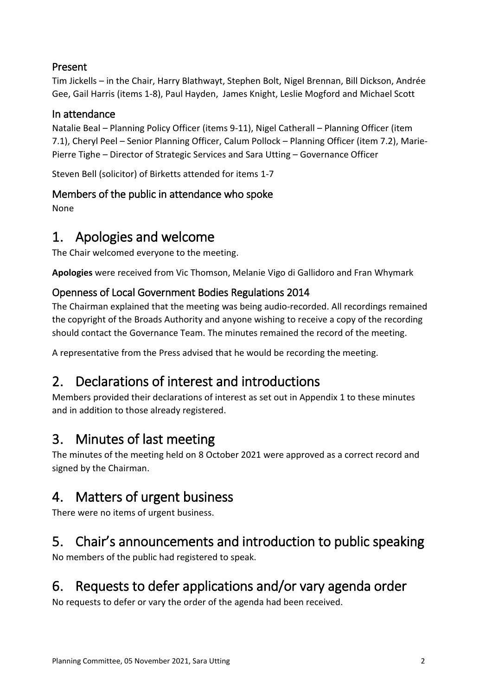#### Present

Tim Jickells – in the Chair, Harry Blathwayt, Stephen Bolt, Nigel Brennan, Bill Dickson, Andrée Gee, Gail Harris (items 1-8), Paul Hayden, James Knight, Leslie Mogford and Michael Scott

#### In attendance

Natalie Beal – Planning Policy Officer (items 9-11), Nigel Catherall – Planning Officer (item 7.1), Cheryl Peel – Senior Planning Officer, Calum Pollock – Planning Officer (item 7.2), Marie-Pierre Tighe – Director of Strategic Services and Sara Utting – Governance Officer

Steven Bell (solicitor) of Birketts attended for items 1-7

#### Members of the public in attendance who spoke

None

### <span id="page-1-0"></span>1. Apologies and welcome

The Chair welcomed everyone to the meeting.

**Apologies** were received from Vic Thomson, Melanie Vigo di Gallidoro and Fran Whymark

#### <span id="page-1-1"></span>Openness of Local Government Bodies Regulations 2014

The Chairman explained that the meeting was being audio-recorded. All recordings remained the copyright of the Broads Authority and anyone wishing to receive a copy of the recording should contact the Governance Team. The minutes remained the record of the meeting.

A representative from the Press advised that he would be recording the meeting.

### <span id="page-1-2"></span>2. Declarations of interest and introductions

Members provided their declarations of interest as set out in Appendix 1 to these minutes and in addition to those already registered.

### <span id="page-1-3"></span>3. Minutes of last meeting

The minutes of the meeting held on 8 October 2021 were approved as a correct record and signed by the Chairman.

# <span id="page-1-4"></span>4. Matters of urgent business

There were no items of urgent business.

### <span id="page-1-5"></span>5. Chair's announcements and introduction to public speaking

No members of the public had registered to speak.

### <span id="page-1-6"></span>6. Requests to defer applications and/or vary agenda order

No requests to defer or vary the order of the agenda had been received.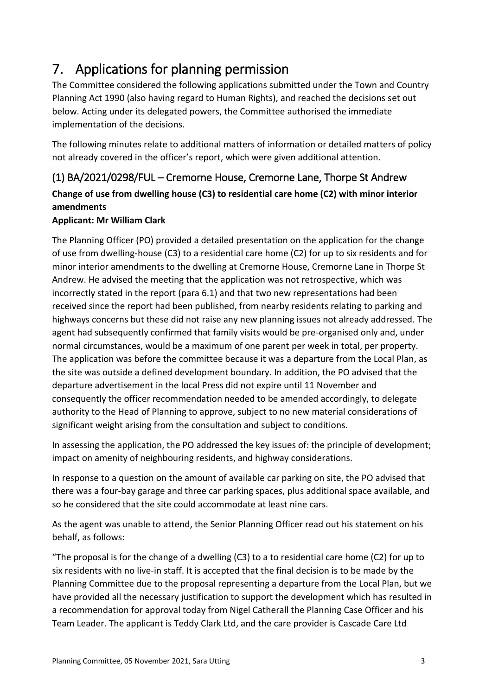# <span id="page-2-0"></span>7. Applications for planning permission

The Committee considered the following applications submitted under the Town and Country Planning Act 1990 (also having regard to Human Rights), and reached the decisions set out below. Acting under its delegated powers, the Committee authorised the immediate implementation of the decisions.

The following minutes relate to additional matters of information or detailed matters of policy not already covered in the officer's report, which were given additional attention.

### <span id="page-2-1"></span>(1) BA/2021/0298/FUL – Cremorne House, Cremorne Lane, Thorpe St Andrew **Change of use from dwelling house (C3) to residential care home (C2) with minor interior amendments**

#### **Applicant: Mr William Clark**

The Planning Officer (PO) provided a detailed presentation on the application for the change of use from dwelling-house (C3) to a residential care home (C2) for up to six residents and for minor interior amendments to the dwelling at Cremorne House, Cremorne Lane in Thorpe St Andrew. He advised the meeting that the application was not retrospective, which was incorrectly stated in the report (para 6.1) and that two new representations had been received since the report had been published, from nearby residents relating to parking and highways concerns but these did not raise any new planning issues not already addressed. The agent had subsequently confirmed that family visits would be pre-organised only and, under normal circumstances, would be a maximum of one parent per week in total, per property. The application was before the committee because it was a departure from the Local Plan, as the site was outside a defined development boundary. In addition, the PO advised that the departure advertisement in the local Press did not expire until 11 November and consequently the officer recommendation needed to be amended accordingly, to delegate authority to the Head of Planning to approve, subject to no new material considerations of significant weight arising from the consultation and subject to conditions.

In assessing the application, the PO addressed the key issues of: the principle of development; impact on amenity of neighbouring residents, and highway considerations.

In response to a question on the amount of available car parking on site, the PO advised that there was a four-bay garage and three car parking spaces, plus additional space available, and so he considered that the site could accommodate at least nine cars.

As the agent was unable to attend, the Senior Planning Officer read out his statement on his behalf, as follows:

"The proposal is for the change of a dwelling (C3) to a to residential care home (C2) for up to six residents with no live-in staff. It is accepted that the final decision is to be made by the Planning Committee due to the proposal representing a departure from the Local Plan, but we have provided all the necessary justification to support the development which has resulted in a recommendation for approval today from Nigel Catherall the Planning Case Officer and his Team Leader. The applicant is Teddy Clark Ltd, and the care provider is Cascade Care Ltd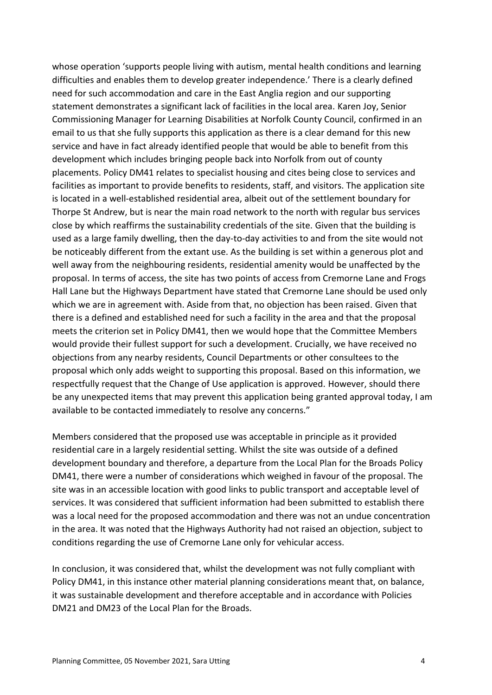whose operation 'supports people living with autism, mental health conditions and learning difficulties and enables them to develop greater independence.' There is a clearly defined need for such accommodation and care in the East Anglia region and our supporting statement demonstrates a significant lack of facilities in the local area. Karen Joy, Senior Commissioning Manager for Learning Disabilities at Norfolk County Council, confirmed in an email to us that she fully supports this application as there is a clear demand for this new service and have in fact already identified people that would be able to benefit from this development which includes bringing people back into Norfolk from out of county placements. Policy DM41 relates to specialist housing and cites being close to services and facilities as important to provide benefits to residents, staff, and visitors. The application site is located in a well-established residential area, albeit out of the settlement boundary for Thorpe St Andrew, but is near the main road network to the north with regular bus services close by which reaffirms the sustainability credentials of the site. Given that the building is used as a large family dwelling, then the day-to-day activities to and from the site would not be noticeably different from the extant use. As the building is set within a generous plot and well away from the neighbouring residents, residential amenity would be unaffected by the proposal. In terms of access, the site has two points of access from Cremorne Lane and Frogs Hall Lane but the Highways Department have stated that Cremorne Lane should be used only which we are in agreement with. Aside from that, no objection has been raised. Given that there is a defined and established need for such a facility in the area and that the proposal meets the criterion set in Policy DM41, then we would hope that the Committee Members would provide their fullest support for such a development. Crucially, we have received no objections from any nearby residents, Council Departments or other consultees to the proposal which only adds weight to supporting this proposal. Based on this information, we respectfully request that the Change of Use application is approved. However, should there be any unexpected items that may prevent this application being granted approval today, I am available to be contacted immediately to resolve any concerns."

Members considered that the proposed use was acceptable in principle as it provided residential care in a largely residential setting. Whilst the site was outside of a defined development boundary and therefore, a departure from the Local Plan for the Broads Policy DM41, there were a number of considerations which weighed in favour of the proposal. The site was in an accessible location with good links to public transport and acceptable level of services. It was considered that sufficient information had been submitted to establish there was a local need for the proposed accommodation and there was not an undue concentration in the area. It was noted that the Highways Authority had not raised an objection, subject to conditions regarding the use of Cremorne Lane only for vehicular access.

In conclusion, it was considered that, whilst the development was not fully compliant with Policy DM41, in this instance other material planning considerations meant that, on balance, it was sustainable development and therefore acceptable and in accordance with Policies DM21 and DM23 of the Local Plan for the Broads.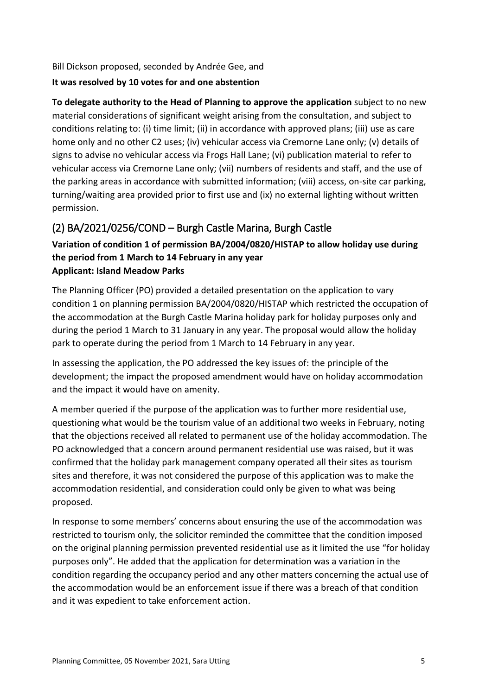Bill Dickson proposed, seconded by Andrée Gee, and

#### **It was resolved by 10 votes for and one abstention**

**To delegate authority to the Head of Planning to approve the application** subject to no new material considerations of significant weight arising from the consultation, and subject to conditions relating to: (i) time limit; (ii) in accordance with approved plans; (iii) use as care home only and no other C2 uses; (iv) vehicular access via Cremorne Lane only; (v) details of signs to advise no vehicular access via Frogs Hall Lane; (vi) publication material to refer to vehicular access via Cremorne Lane only; (vii) numbers of residents and staff, and the use of the parking areas in accordance with submitted information; (viii) access, on-site car parking, turning/waiting area provided prior to first use and (ix) no external lighting without written permission.

#### <span id="page-4-0"></span>(2) BA/2021/0256/COND – Burgh Castle Marina, Burgh Castle

#### **Variation of condition 1 of permission BA/2004/0820/HISTAP to allow holiday use during the period from 1 March to 14 February in any year Applicant: Island Meadow Parks**

The Planning Officer (PO) provided a detailed presentation on the application to vary condition 1 on planning permission BA/2004/0820/HISTAP which restricted the occupation of the accommodation at the Burgh Castle Marina holiday park for holiday purposes only and during the period 1 March to 31 January in any year. The proposal would allow the holiday park to operate during the period from 1 March to 14 February in any year.

In assessing the application, the PO addressed the key issues of: the principle of the development; the impact the proposed amendment would have on holiday accommodation and the impact it would have on amenity.

A member queried if the purpose of the application was to further more residential use, questioning what would be the tourism value of an additional two weeks in February, noting that the objections received all related to permanent use of the holiday accommodation. The PO acknowledged that a concern around permanent residential use was raised, but it was confirmed that the holiday park management company operated all their sites as tourism sites and therefore, it was not considered the purpose of this application was to make the accommodation residential, and consideration could only be given to what was being proposed.

In response to some members' concerns about ensuring the use of the accommodation was restricted to tourism only, the solicitor reminded the committee that the condition imposed on the original planning permission prevented residential use as it limited the use "for holiday purposes only". He added that the application for determination was a variation in the condition regarding the occupancy period and any other matters concerning the actual use of the accommodation would be an enforcement issue if there was a breach of that condition and it was expedient to take enforcement action.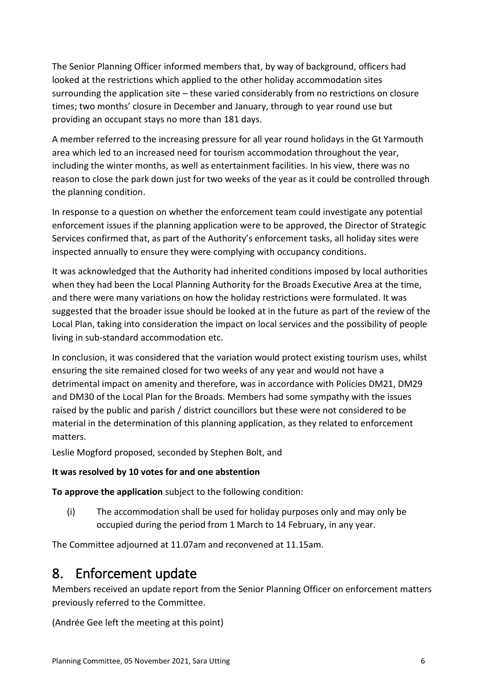The Senior Planning Officer informed members that, by way of background, officers had looked at the restrictions which applied to the other holiday accommodation sites surrounding the application site – these varied considerably from no restrictions on closure times; two months' closure in December and January, through to year round use but providing an occupant stays no more than 181 days.

A member referred to the increasing pressure for all year round holidays in the Gt Yarmouth area which led to an increased need for tourism accommodation throughout the year, including the winter months, as well as entertainment facilities. In his view, there was no reason to close the park down just for two weeks of the year as it could be controlled through the planning condition.

In response to a question on whether the enforcement team could investigate any potential enforcement issues if the planning application were to be approved, the Director of Strategic Services confirmed that, as part of the Authority's enforcement tasks, all holiday sites were inspected annually to ensure they were complying with occupancy conditions.

It was acknowledged that the Authority had inherited conditions imposed by local authorities when they had been the Local Planning Authority for the Broads Executive Area at the time, and there were many variations on how the holiday restrictions were formulated. It was suggested that the broader issue should be looked at in the future as part of the review of the Local Plan, taking into consideration the impact on local services and the possibility of people living in sub-standard accommodation etc.

In conclusion, it was considered that the variation would protect existing tourism uses, whilst ensuring the site remained closed for two weeks of any year and would not have a detrimental impact on amenity and therefore, was in accordance with Policies DM21, DM29 and DM30 of the Local Plan for the Broads. Members had some sympathy with the issues raised by the public and parish / district councillors but these were not considered to be material in the determination of this planning application, as they related to enforcement matters.

Leslie Mogford proposed, seconded by Stephen Bolt, and

#### **It was resolved by 10 votes for and one abstention**

**To approve the application** subject to the following condition:

(i) The accommodation shall be used for holiday purposes only and may only be occupied during the period from 1 March to 14 February, in any year.

The Committee adjourned at 11.07am and reconvened at 11.15am.

### <span id="page-5-0"></span>8. Enforcement update

Members received an update report from the Senior Planning Officer on enforcement matters previously referred to the Committee.

(Andrée Gee left the meeting at this point)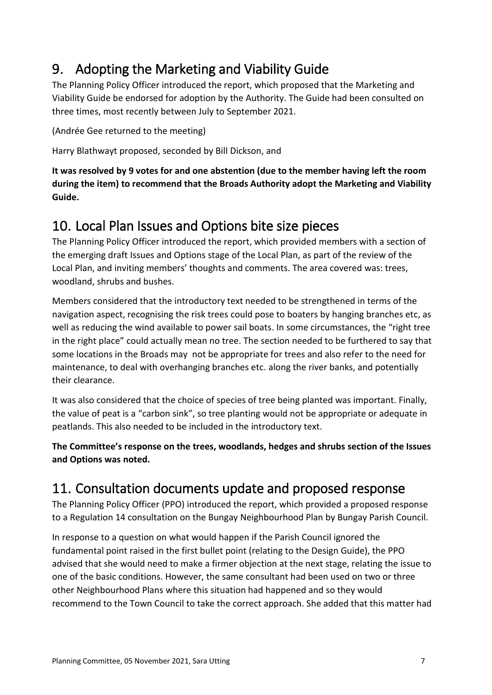# <span id="page-6-0"></span>9. Adopting the Marketing and Viability Guide

The Planning Policy Officer introduced the report, which proposed that the Marketing and Viability Guide be endorsed for adoption by the Authority. The Guide had been consulted on three times, most recently between July to September 2021.

(Andrée Gee returned to the meeting)

Harry Blathwayt proposed, seconded by Bill Dickson, and

**It was resolved by 9 votes for and one abstention (due to the member having left the room during the item) to recommend that the Broads Authority adopt the Marketing and Viability Guide.**

# <span id="page-6-1"></span>10. Local Plan Issues and Options bite size pieces

The Planning Policy Officer introduced the report, which provided members with a section of the emerging draft Issues and Options stage of the Local Plan, as part of the review of the Local Plan, and inviting members' thoughts and comments. The area covered was: trees, woodland, shrubs and bushes.

Members considered that the introductory text needed to be strengthened in terms of the navigation aspect, recognising the risk trees could pose to boaters by hanging branches etc, as well as reducing the wind available to power sail boats. In some circumstances, the "right tree in the right place" could actually mean no tree. The section needed to be furthered to say that some locations in the Broads may not be appropriate for trees and also refer to the need for maintenance, to deal with overhanging branches etc. along the river banks, and potentially their clearance.

It was also considered that the choice of species of tree being planted was important. Finally, the value of peat is a "carbon sink", so tree planting would not be appropriate or adequate in peatlands. This also needed to be included in the introductory text.

**The Committee's response on the trees, woodlands, hedges and shrubs section of the Issues and Options was noted.**

# <span id="page-6-2"></span>11. Consultation documents update and proposed response

The Planning Policy Officer (PPO) introduced the report, which provided a proposed response to a Regulation 14 consultation on the Bungay Neighbourhood Plan by Bungay Parish Council.

In response to a question on what would happen if the Parish Council ignored the fundamental point raised in the first bullet point (relating to the Design Guide), the PPO advised that she would need to make a firmer objection at the next stage, relating the issue to one of the basic conditions. However, the same consultant had been used on two or three other Neighbourhood Plans where this situation had happened and so they would recommend to the Town Council to take the correct approach. She added that this matter had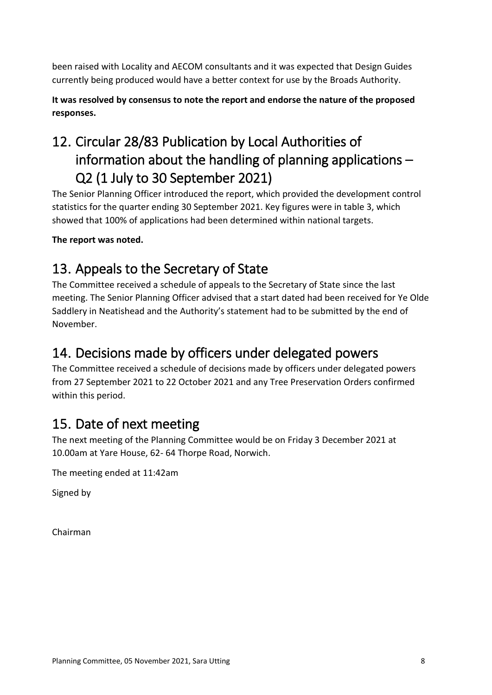been raised with Locality and AECOM consultants and it was expected that Design Guides currently being produced would have a better context for use by the Broads Authority.

**It was resolved by consensus to note the report and endorse the nature of the proposed responses.**

# <span id="page-7-0"></span>12. Circular 28/83 Publication by Local Authorities of information about the handling of planning applications – Q2 (1 July to 30 September 2021)

The Senior Planning Officer introduced the report, which provided the development control statistics for the quarter ending 30 September 2021. Key figures were in table 3, which showed that 100% of applications had been determined within national targets.

**The report was noted.**

### <span id="page-7-1"></span>13. Appeals to the Secretary of State

The Committee received a schedule of appeals to the Secretary of State since the last meeting. The Senior Planning Officer advised that a start dated had been received for Ye Olde Saddlery in Neatishead and the Authority's statement had to be submitted by the end of November.

### <span id="page-7-2"></span>14. Decisions made by officers under delegated powers

The Committee received a schedule of decisions made by officers under delegated powers from 27 September 2021 to 22 October 2021 and any Tree Preservation Orders confirmed within this period.

# <span id="page-7-3"></span>15. Date of next meeting

The next meeting of the Planning Committee would be on Friday 3 December 2021 at 10.00am at Yare House, 62- 64 Thorpe Road, Norwich.

The meeting ended at 11:42am

Signed by

Chairman